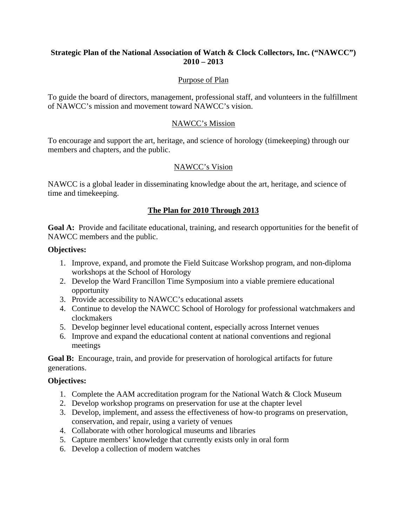## **Strategic Plan of the National Association of Watch & Clock Collectors, Inc. ("NAWCC") 2010 – 2013**

## Purpose of Plan

To guide the board of directors, management, professional staff, and volunteers in the fulfillment of NAWCC's mission and movement toward NAWCC's vision.

### NAWCC's Mission

To encourage and support the art, heritage, and science of horology (timekeeping) through our members and chapters, and the public.

# NAWCC's Vision

NAWCC is a global leader in disseminating knowledge about the art, heritage, and science of time and timekeeping.

# **The Plan for 2010 Through 2013**

**Goal A:** Provide and facilitate educational, training, and research opportunities for the benefit of NAWCC members and the public.

#### **Objectives:**

- 1. Improve, expand, and promote the Field Suitcase Workshop program, and non-diploma workshops at the School of Horology
- 2. Develop the Ward Francillon Time Symposium into a viable premiere educational opportunity
- 3. Provide accessibility to NAWCC's educational assets
- 4. Continue to develop the NAWCC School of Horology for professional watchmakers and clockmakers
- 5. Develop beginner level educational content, especially across Internet venues
- 6. Improve and expand the educational content at national conventions and regional meetings

**Goal B:** Encourage, train, and provide for preservation of horological artifacts for future generations.

### **Objectives:**

- 1. Complete the AAM accreditation program for the National Watch & Clock Museum
- 2. Develop workshop programs on preservation for use at the chapter level
- 3. Develop, implement, and assess the effectiveness of how-to programs on preservation, conservation, and repair, using a variety of venues
- 4. Collaborate with other horological museums and libraries
- 5. Capture members' knowledge that currently exists only in oral form
- 6. Develop a collection of modern watches